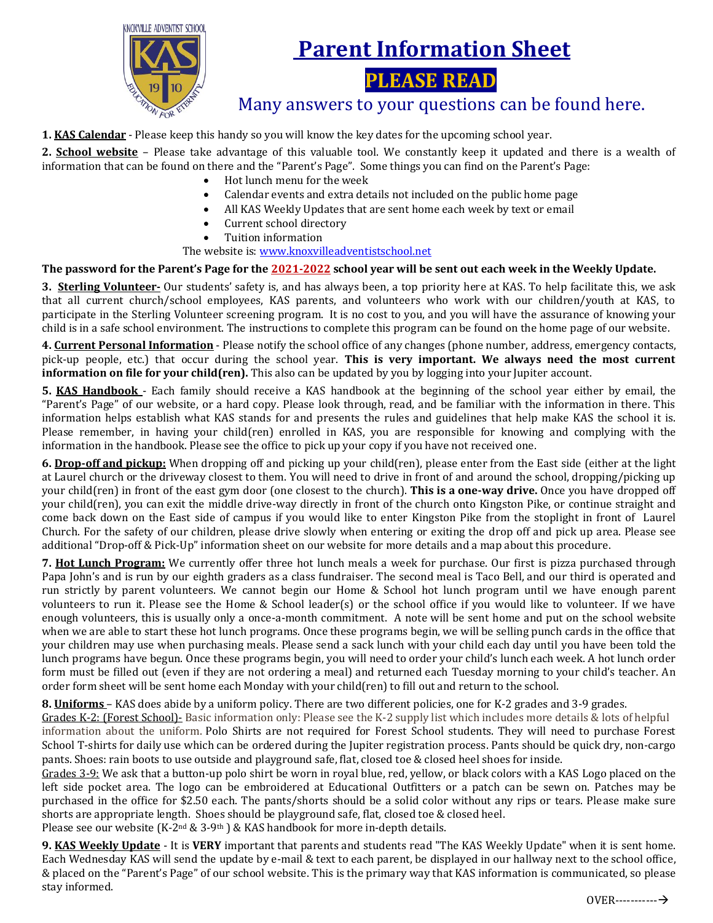

## **Parent Information Sheet**

**PLEASE READ**

## Many answers to your questions can be found here.

**1. KAS Calendar** - Please keep this handy so you will know the key dates for the upcoming school year.

**2. School website** – Please take advantage of this valuable tool. We constantly keep it updated and there is a wealth of information that can be found on there and the "Parent's Page". Some things you can find on the Parent's Page:

- Hot lunch menu for the week
- Calendar events and extra details not included on the public home page
- All KAS Weekly Updates that are sent home each week by text or email
- Current school directory
- Tuition information

The website is: [www.knoxvilleadventistschool.net](http://www.knoxvilleadventistschool.net/)

## **The password for the Parent's Page for the 2021-2022 school year will be sent out each week in the Weekly Update.**

**3. Sterling Volunteer-** Our students' safety is, and has always been, a top priority here at KAS. To help facilitate this, we ask that all current church/school employees, KAS parents, and volunteers who work with our children/youth at KAS, to participate in the Sterling Volunteer screening program. It is no cost to you, and you will have the assurance of knowing your child is in a safe school environment. The instructions to complete this program can be found on the home page of our website.

**4. Current Personal Information** - Please notify the school office of any changes (phone number, address, emergency contacts, pick-up people, etc.) that occur during the school year. **This is very important. We always need the most current information on file for your child(ren).** This also can be updated by you by logging into your Jupiter account.

**5. KAS Handbook** - Each family should receive a KAS handbook at the beginning of the school year either by email, the "Parent's Page" of our website, or a hard copy. Please look through, read, and be familiar with the information in there. This information helps establish what KAS stands for and presents the rules and guidelines that help make KAS the school it is. Please remember, in having your child(ren) enrolled in KAS, you are responsible for knowing and complying with the information in the handbook. Please see the office to pick up your copy if you have not received one.

**6. Drop-off and pickup:** When dropping off and picking up your child(ren), please enter from the East side (either at the light at Laurel church or the driveway closest to them. You will need to drive in front of and around the school, dropping/picking up your child(ren) in front of the east gym door (one closest to the church). **This is a one-way drive.** Once you have dropped off your child(ren), you can exit the middle drive-way directly in front of the church onto Kingston Pike, or continue straight and come back down on the East side of campus if you would like to enter Kingston Pike from the stoplight in front of Laurel Church. For the safety of our children, please drive slowly when entering or exiting the drop off and pick up area. Please see additional "Drop-off & Pick-Up" information sheet on our website for more details and a map about this procedure.

**7. Hot Lunch Program:** We currently offer three hot lunch meals a week for purchase. Our first is pizza purchased through Papa John's and is run by our eighth graders as a class fundraiser. The second meal is Taco Bell, and our third is operated and run strictly by parent volunteers. We cannot begin our Home & School hot lunch program until we have enough parent volunteers to run it. Please see the Home & School leader(s) or the school office if you would like to volunteer. If we have enough volunteers, this is usually only a once-a-month commitment. A note will be sent home and put on the school website when we are able to start these hot lunch programs. Once these programs begin, we will be selling punch cards in the office that your children may use when purchasing meals. Please send a sack lunch with your child each day until you have been told the lunch programs have begun. Once these programs begin, you will need to order your child's lunch each week. A hot lunch order form must be filled out (even if they are not ordering a meal) and returned each Tuesday morning to your child's teacher. An order form sheet will be sent home each Monday with your child(ren) to fill out and return to the school.

**8. Uniforms** – KAS does abide by a uniform policy. There are two different policies, one for K-2 grades and 3-9 grades.

Grades K-2: (Forest School)- Basic information only: Please see the K-2 supply list which includes more details & lots of helpful information about the uniform. Polo Shirts are not required for Forest School students. They will need to purchase Forest School T-shirts for daily use which can be ordered during the Jupiter registration process. Pants should be quick dry, non-cargo pants. Shoes: rain boots to use outside and playground safe, flat, closed toe & closed heel shoes for inside.

Grades 3-9: We ask that a button-up polo shirt be worn in royal blue, red, yellow, or black colors with a KAS Logo placed on the left side pocket area. The logo can be embroidered at Educational Outfitters or a patch can be sewn on. Patches may be purchased in the office for \$2.50 each. The pants/shorts should be a solid color without any rips or tears. Please make sure shorts are appropriate length. Shoes should be playground safe, flat, closed toe & closed heel.

Please see our website (K-2<sup>nd</sup> & 3-9<sup>th</sup>) & KAS handbook for more in-depth details.

**9. KAS Weekly Update** - It is **VERY** important that parents and students read "The KAS Weekly Update" when it is sent home. Each Wednesday KAS will send the update by e-mail & text to each parent, be displayed in our hallway next to the school office, & placed on the "Parent's Page" of our school website. This is the primary way that KAS information is communicated, so please stay informed.